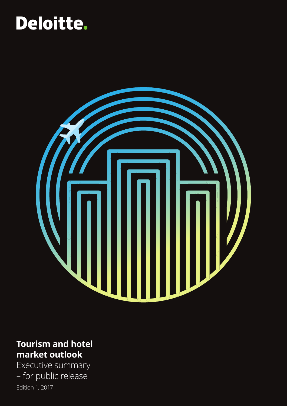# Deloitte.



# **Tourism and hotel market outlook**

Executive summary – for public release Edition 1, 2017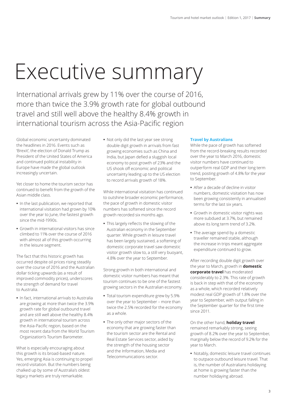# Executive summary

International arrivals grew by 11% over the course of 2016, more than twice the 3.9% growth rate for global outbound travel and still well above the healthy 8.4% growth in international tourism across the Asia-Pacific region

Global economic uncertainty dominated the headlines in 2016. Events such as 'Brexit', the election of Donald Trump as President of the United States of America and continued political instability in Europe have made the global outlook increasingly uncertain.

Yet closer to home the tourism sector has continued to benefit from the growth of the Asian middle class.

- **•** In the last publication, we reported that international visitation had grown by 10% over the year to June, the fastest growth since the mid-1990s.
- **•** Growth in international visitors has since climbed to 11% over the course of 2016 with almost all of this growth occurring in the leisure segment.

The fact that this historic growth has occurred despite oil prices rising steadily over the course of 2016 and the Australian dollar ticking upwards (as a result of improved commodity prices), underscores the strength of demand for travel to Australia.

**•** In fact, international arrivals to Australia are growing at more than twice the 3.9% growth rate for global outbound travel and are still well above the healthy 8.4% growth in international tourism across the Asia-Pacific region, based on the most recent data from the World Tourism Organization's Tourism Barometer.

What is especially encouraging about this growth is its broad-based nature. Yes, emerging Asia is continuing to propel record visitation. But the numbers being chalked up by some of Australia's oldest legacy markets are truly remarkable.

**•** Not only did the last year see strong double digit growth in arrivals from fast growing economies such as China and India, but Japan defied a sluggish local economy to post growth of 23% and the US shook off economic and political uncertainty leading up to the US election to record arrivals growth of 18%.

While international visitation has continued to outshine broader economic performance, the pace of growth in domestic visitor numbers has softened since the record growth recorded six months ago.

**•** This largely reflects the slowing of the Australian economy in the September quarter. While growth in leisure travel has been largely sustained, a softening of domestic corporate travel saw domestic visitor growth slow to, a still very buoyant, 4.8% over the year to September.

Strong growth in both international and domestic visitor numbers has meant that tourism continues to be one of the fastest growing sectors in the Australian economy.

- **•** Total tourism expenditure grew by 5.9% over the year to September – more than twice the 2.5% recorded for the economy as a whole.
- **•** The only other major sectors of the economy that are growing faster than the tourism sector are the Rental and Real Estate Services sector, aided by the strength of the housing sector and the Information, Media and Telecommunications sector.

# **Travel by Australians**

While the pace of growth has softened from the record-breaking results recorded over the year to March 2016, domestic visitor numbers have continued to outperform real GDP and their long term trend, posting growth of 4.8% for the year to September.

- **•** After a decade of decline in visitor numbers, domestic visitation has now been growing consistently in annualised terms for the last six years.
- **•** Growth in domestic visitor nights was more subdued at 3.7%, but remained above its long term trend of 3.2%.
- **•** The average spend by a domestic traveller remained stable, although the increase in trips meant aggregate expenditure continued to grow.

After recording double digit growth over the year to March, growth in **domestic corporate travel** has moderated considerably to 2.3%. This rate of growth is back in step with that of the economy as a whole, which recorded relatively modest real GDP growth of 1.8% over the year to September, with output falling in the September quarter for the first time since 2011.

On the other hand, **holiday travel** remained remarkably strong, seeing growth of 8.2% over the year to September, marginally below the record of 9.2% for the year to March.

**•** Notably, domestic leisure travel continues to outpace outbound leisure travel. That is, the number of Australians holidaying at home is growing faster than the number holidaying abroad.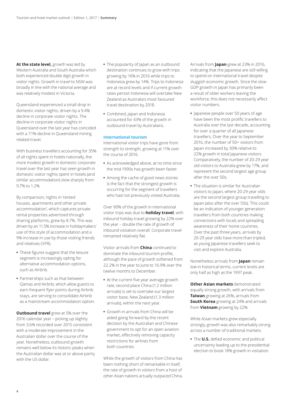**At the state level,** growth was led by Western Australia and South Australia which both experienced double digit growth in visitor nights. Growth in travel to NSW was broadly in line with the national average and was relatively modest in Victoria.

Queensland experienced a small drop in domestic visitor nights, driven by a 9.4% decline in corporate visitor nights. The decline in corporate visitor nights in Queensland over the last year has coincided with a 7.1% decline in Queensland mining related travel.

With business travellers accounting for 35% of all nights spent in hotels nationally, the more modest growth in domestic corporate travel over the last year has seen growth in domestic visitor nights spent in hotels (and similar accommodation) slow sharply from 9.7% to 1.2%.

By comparison, nights in 'rented houses, apartments and other private accommodation', which captures private rental properties advertised through sharing platforms, grew by 8.7%. This was driven by an 11.5% increase in holidaymakers' use of this style of accommodation and a 9% increase in use by those visiting friends and relatives (VFR).

- **•** These figures suggest that the leisure segment is increasingly opting for alternative accommodation options, such as Airbnb.
- **•** Partnerships such as that between Qantas and Airbnb, which allow guests to earn frequent flyer points during Airbnb stays, are serving to consolidate Airbnb as a mainstream accommodation option.

**Outbound travel** grew at 5% over the 2016 calendar year – picking up slightly from 3.6% recorded over 2015 consistent with a moderate improvement in the Australian dollar over the course of the year. Nonetheless, outbound growth remains well below its historic peaks when the Australian dollar was at or above parity with the US dollar.

- **•** The popularity of Japan as an outbound destination continues to grow with trips growing by 16% in 2016 while trips to Indonesia grew by 14%. Trips to Indonesia are at record levels and if current growth rates persist Indonesia will overtake New Zealand as Australia's most favoured travel destination by 2018.
- **•** Combined, Japan and Indonesia accounted for 43% of the growth in outbound travel by Australians.

# **International tourism**

International visitor trips have gone from strength to strength, growing at 11% over the course of 2016.

- **•** As acknowledged above, at no time since the mid-1990s has growth been faster.
- **•** Among the cache of good news stories is the fact that the strongest growth is occurring for the segment of travellers who had not previously visited Australia.

Over 90% of the growth in international visitor trips was due to **holiday travel**, with inbound holiday travel growing by 22% over the year – double the rate of growth of inbound visitation overall. Corporate travel remained relatively flat.

Visitor arrivals from **China** continued to dominate the inbound tourism profile, although the pace of growth softened from 22.2% in the year to June to 16.9% over the twelve months to December.

- **•** At the current five year average growth rate, second place China (1.2 million arrivals) is set to overtake our largest visitor base, New Zealand (1.3 million arrivals), within the next year.
- **•** Growth in arrivals from China will be aided going forward by the recent decision by the Australian and Chinese government to opt for an open aviation market, effectively removing capacity restrictions for airlines from both countries.

While the growth of visitors from China has been nothing short of remarkable in itself, the rate of growth in visitors from a host of other Asian nations actually outpaced China. Arrivals from **Japan** grew at 23% in 2016, indicating that the Japanese are still willing to spend on international travel despite sluggish economic growth. Since the slow GDP growth in Japan has primarily been a result of older workers leaving the workforce, this does not necessarily affect visitor numbers.

- **•** Japanese people over 50 years of age have been the most prolific travellers to Australia over the last decade, accounting for over a quarter of all Japanese travellers. Over the year to September 2016, the number of 50+ visitors from Japan increased by 30% relative to 22% growth in total Japanese visitors. Comparatively, the number of 20-29 year old visitors to Australia grew by 17%, and represent the second largest age group after the over 50s.
- **•** The situation is similar for Australian visitors to Japan, where 20-29 year olds are the second largest group travelling to Japan (also after the over 50s). This could be an indication of younger generation travellers from both countries making connections with locals and spreading awareness of their home countries. Over the past three years, arrivals by 20-29 year olds have more than tripled, as young Japanese travellers seek to visit and explore Australia.

Nonetheless arrivals from **Japan** remain low in historical terms, current levels are only half as high as the 1997 peak.

**Other Asian markets** demonstrated equally strong growth, with arrivals from **Taiwan** growing at 26%, arrivals from **South Korea** growing at 24% and arrivals from **Vietnam** growing by 22%.

While Asian markets grew especially strongly, growth was also remarkably strong across a number of traditional markets.

**•** The **U.S.** defied economic and political uncertainty leading up to the presidential election to book 18% growth in visitation.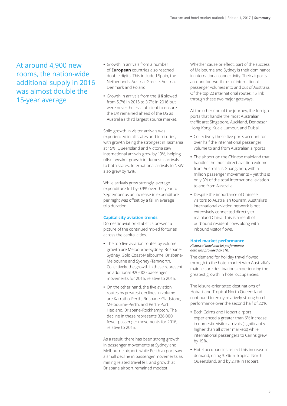At around 4,900 new rooms, the nation-wide additional supply in 2016 was almost double the 15-year average

- **•** Growth in arrivals from a number of **European** countries also reached double digits. This included Spain, the Netherlands, Austria, Greece, Austria, Denmark and Poland.
- **•** Growth in arrivals from the **UK** slowed from 5.7% in 2015 to 3.7% in 2016 but were nevertheless sufficient to ensure the UK remained ahead of the US as Australia's third largest source market.

Solid growth in visitor arrivals was experienced in all states and territories, with growth being the strongest in Tasmania at 15%. Queensland and Victoria saw international arrivals grow by 13%, helping offset weaker growth in domestic arrivals to both states. International arrivals to NSW also grew by 12%.

While arrivals grew strongly, average expenditure fell by 0.9% over the year to September as an increase in expenditure per night was offset by a fall in average trip duration.

# **Capital city aviation trends**

Domestic aviation statistics present a picture of the continued mixed fortunes across the capital cities.

- **•** The top five aviation routes by volume growth are Melbourne-Sydney, Brisbane-Sydney, Gold Coast-Melbourne, Brisbane-Melbourne and Sydney -Tamworth. Collectively, the growth in these represent an additional 920,000 passenger movements for 2016, relative to 2015.
- **•** On the other hand, the five aviation routes by greatest declines in volume are Karratha-Perth, Brisbane-Gladstone, Melbourne-Perth, and Perth-Port Hedland, Brisbane-Rockhampton. The decline in these represents 326,000 fewer passenger movements for 2016, relative to 2015.

As a result, there has been strong growth in passenger movements at Sydney and Melbourne airport, while Perth airport saw a small decline in passenger movements as mining related travel fell, and growth at Brisbane airport remained modest.

Whether cause or effect, part of the success of Melbourne and Sydney is their dominance in international connectivity. Their airports account for two-thirds of international passenger volumes into and out of Australia. Of the top 20 international routes, 15 link through these two major gateways.

At the other end of the journey, the foreign ports that handle the most Australian traffic are: Singapore, Auckland, Denpasar, Hong Kong, Kuala Lumpur, and Dubai.

- **•** Collectively these five ports account for over half the international passenger volume to and from Australian airports.
- **•** The airport on the Chinese mainland that handles the most direct aviation volume from Australia is Guangzhou, with a million passenger movements – yet this is only 3% of the total international aviation to and from Australia.
- **•** Despite the importance of Chinese visitors to Australian tourism, Australia's international aviation network is not extensively connected directly to mainland China. This is a result of outbound resident flows along with inbound visitor flows.

# **Hotel market performance**

# *Historical hotel market performance data was provided by STR.*

The demand for holiday travel flowed through to the hotel market with Australia's main leisure destinations experiencing the greatest growth in hotel occupancies.

The leisure-orientated destinations of Hobart and Tropical North Queensland continued to enjoy relatively strong hotel performance over the second half of 2016:

- **•** Both Cairns and Hobart airport experienced a greater than 6% increase in domestic visitor arrivals (significantly higher than all other markets) while international passengers to Cairns grew by 19%.
- **•** Hotel occupancies reflect this increase in demand, rising 3.7% in Tropical North Queensland, and by 2.1% in Hobart.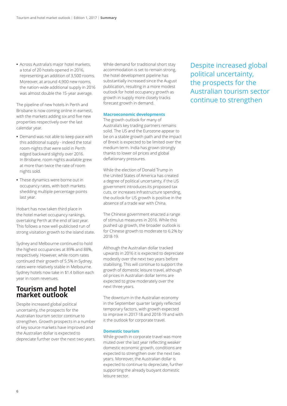**•** Across Australia's major hotel markets, a total of 20 hotels opened in 2016, representing an addition of 3,500 rooms. Moreover, at around 4,900 new rooms, the nation-wide additional supply in 2016 was almost double the 15-year average.

The pipeline of new hotels in Perth and Brisbane is now coming online in earnest, with the markets adding six and five new properties respectively over the last calendar year.

- **•** Demand was not able to keep pace with this additional supply - indeed the total room-nights that were sold in Perth edged backward slightly over 2016. In Brisbane, room nights available grew at more than twice the rate of room nights sold.
- **•** These dynamics were borne out in occupancy rates, with both markets shedding multiple percentage points last year.

Hobart has now taken third place in the hotel market occupancy rankings, overtaking Perth at the end of last year. This follows a now well-publicised run of strong visitation growth to the island state.

Sydney and Melbourne continued to hold the highest occupancies at 89% and 88%, respectively. However, while room rates continued their growth of 5.5% in Sydney, rates were relatively stable in Melbourne. Sydney hotels now take in \$1.4 billion each year in room revenues.

# **Tourism and hotel market outlook**

Despite increased global political uncertainty, the prospects for the Australian tourism sector continue to strengthen. Growth prospects in a number of key source markets have improved and the Australian dollar is expected to depreciate further over the next two years.

While demand for traditional short stay accommodation is set to remain strong, the hotel development pipeline has substantially increased since the August publication, resulting in a more modest outlook for hotel occupancy growth as growth in supply more closely tracks forecast growth in demand.

# **Macroeconomic developments**

The growth outlook for many of Australia's key trading partners remains solid. The US and the Eurozone appear to be on a stable growth path and the impact of Brexit is expected to be limited over the medium term. India has grown strongly thanks to lower oil prices and global deflationary pressures.

While the election of Donald Trump in the United States of America has created a degree of political uncertainty, if the US government introduces its proposed tax cuts, or increases infrastructure spending, the outlook for US growth is positive in the absence of a trade war with China.

The Chinese government enacted a range of stimulus measures in 2016. While this pushed up growth, the broader outlook is for Chinese growth to moderate to 6.2% by 2018-19.

Although the Australian dollar tracked upwards in 2016 it is expected to depreciate modestly over the next two years before stabilising. This will continue to support the growth of domestic leisure travel, although oil prices in Australian dollar terms are expected to grow moderately over the next three years.

The downturn in the Australian economy in the September quarter largely reflected temporary factors, with growth expected to improve in 2017-18 and 2018-19 and with it the outlook for corporate travel.

# **Domestic tourism**

While growth in corporate travel was more muted over the last year reflecting weaker domestic economic growth, conditions are expected to strengthen over the next two years. Moreover, the Australian dollar is expected to continue to depreciate, further supporting the already buoyant domestic leisure sector.

Despite increased global political uncertainty, the prospects for the Australian tourism sector continue to strengthen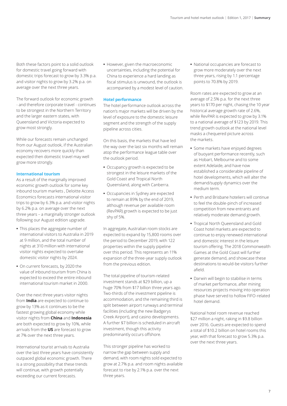Both these factors point to a solid outlook for domestic travel going forward with domestic trips forecast to grow by 3.3% p.a. and visitor nights to grow by 3.2% p.a. on average over the next three years.

The forward outlook for economic growth - and therefore corporate travel - continues to be strongest in the Northern Territory and the larger eastern states, with Queensland and Victoria expected to grow most strongly.

While our forecasts remain unchanged from our August outlook, if the Australian economy recovers more quickly than expected then domestic travel may well grow more strongly.

# **International tourism**

As a result of the marginally improved economic growth outlook for some key inbound tourism markets , Deloitte Access Economics forecasts international visitor trips to grow by 6.3% p.a. and visitor nights by 6.2% p.a. on average over the next three years – a marginally stronger outlook following our August edition upgrade.

- **•** This places the aggregate number of international visitors to Australia in 2019 at 9 million, and the total number of nights at 310 million with international visitor nights expected to overtake domestic visitor nights by 2024.
- **•** On current forecasts, by 2020 the value of inbound tourism from China is expected to exceed the entire inbound international tourism market in 2000.

Over the next three years visitor nights from **India** are expected to continue to grow by 13% as it continues to be the fastest growing global economy while visitor nights from **China** and **Indonesia** are both expected to grow by 10%, while arrivals from the **US** are forecast to grow at 7% over the next three years.

International tourist arrivals to Australia over the last three years have consistently outpaced global economic growth. There is a strong possibility that these trends will continue, with growth potentially exceeding our current forecasts.

**•** However, given the macroeconomic uncertainties, including the potential for China to experience a hard landing as fiscal stimulus is unwound, the outlook is accompanied by a modest level of caution.

# **Hotel performance**

The hotel performance outlook across the nation's major markets will be driven by the level of exposure to the domestic leisure segment and the strength of the supply pipeline across cities.

On this basis, the markets that have led the way over the last six months will remain atop the performance league table over the outlook period.

- **•** Occupancy growth is expected to be strongest in the leisure markets of the Gold Coast and Tropical North Queensland, along with Canberra.
- **•** Occupancies in Sydney are expected to remain at 89% by the end of 2019, although revenue per available room (RevPAR) growth is expected to be just shy of 5%.

In aggregate, Australian room stocks are expected to expand by 15,800 rooms over the period to December 2019, with 122 properties within the supply pipeline over this period. This represents an 11% expansion of the three-year supply outlook from the previous edition.

The total pipeline of tourism-related investment stands at \$29 billion, up a huge 70% from \$17 billion three years ago. Two-thirds of the investment pipeline is accommodation, and the remaining third is split between airport runways and terminal facilities (including the new Badgerys Creek Airport), and casino developments. A further \$7 billion is scheduled in aircraft investment, though this activity predominantly occurs offshore.

This stronger pipeline has worked to narrow the gap between supply and demand, with room nights sold expected to grow at 2.7% p.a. and room nights available forecast to rise by 2.1% p.a. over the next three years.

**•** National occupancies are forecast to grow more moderately over the next three years, rising by 1.1 percentage points to 70.8% by 2019.

Room rates are expected to grow at an average of 2.5% p.a. for the next three years to \$170 per night, chasing the 10 year historical average growth rate of 2.6%, while RevPAR is expected to grow by 3.1% to a national average of \$123 by 2019. This trend growth outlook at the national level masks a chequered picture across the markets.

- **•** Some markets have enjoyed degrees of buoyant performance recently, such as Hobart, Melbourne and to some extent Adelaide, and have now established a considerable pipeline of hotel developments, which will alter the demand/supply dynamics over the medium term.
- **•** Perth and Brisbane hoteliers will continue to feel the double-pinch of increased competition from new entrants and relatively moderate demand growth.
- **•** Tropical North Queensland and Gold Coast hotel markets are expected to continue to enjoy renewed international and domestic interest in the leisure tourism offering. The 2018 Commonwealth Games at the Gold Coast will further generate demand, and showcase these destinations to would-be visitors further afield.
- **•** Darwin will begin to stabilise in terms of market performance, after mining resources projects moving into operation phase have served to hollow FIFO-related hotel demand.

National hotel room revenue reached \$27 million a night, raking in \$9.8 billion over 2016. Guests are expected to spend a total of \$10.2 billion on hotel rooms this year, with that forecast to grow 5.3% p.a. over the next three years.